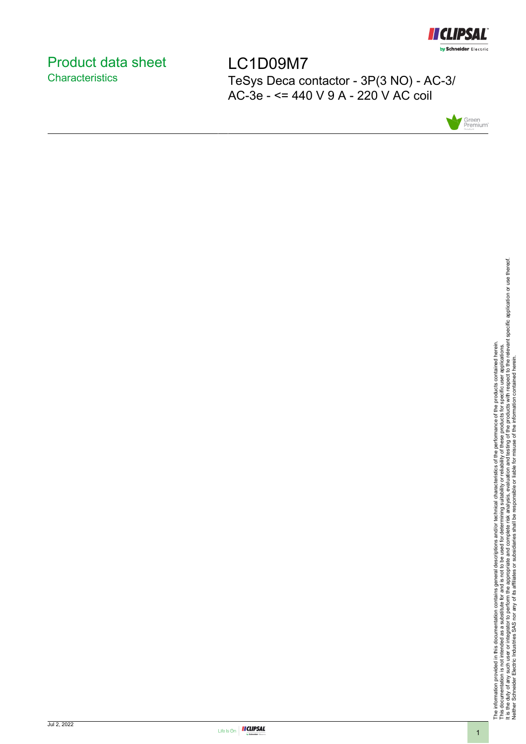

# <span id="page-0-0"></span>Product data sheet **Characteristics**

LC1D09M7 TeSys Deca contactor - 3P(3 NO) - AC-3/ AC-3e - <= 440 V 9 A - 220 V AC coil



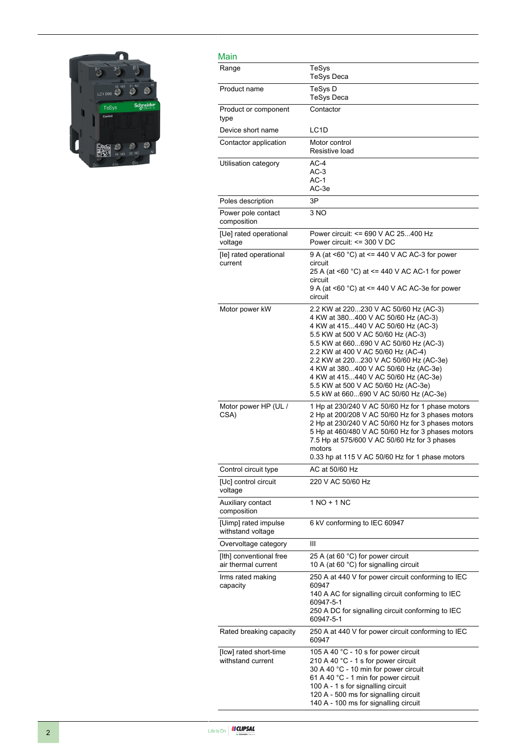

| Main                                           |                                                                                                                                                                                                                                                                                                                                                                                                                                                     |
|------------------------------------------------|-----------------------------------------------------------------------------------------------------------------------------------------------------------------------------------------------------------------------------------------------------------------------------------------------------------------------------------------------------------------------------------------------------------------------------------------------------|
| Range                                          | TeSys<br><b>TeSys Deca</b>                                                                                                                                                                                                                                                                                                                                                                                                                          |
| Product name                                   | TeSys D<br><b>TeSys Deca</b>                                                                                                                                                                                                                                                                                                                                                                                                                        |
| Product or component<br>type                   | Contactor                                                                                                                                                                                                                                                                                                                                                                                                                                           |
| Device short name                              | LC <sub>1</sub> D                                                                                                                                                                                                                                                                                                                                                                                                                                   |
| Contactor application                          | Motor control<br>Resistive load                                                                                                                                                                                                                                                                                                                                                                                                                     |
| Utilisation category                           | $AC-4$<br>$AC-3$<br>$AC-1$<br>AC-3e                                                                                                                                                                                                                                                                                                                                                                                                                 |
| Poles description                              | 3P                                                                                                                                                                                                                                                                                                                                                                                                                                                  |
| Power pole contact<br>composition              | 3 NO                                                                                                                                                                                                                                                                                                                                                                                                                                                |
| [Ue] rated operational<br>voltage              | Power circuit: <= 690 V AC 25400 Hz<br>Power circuit: <= 300 V DC                                                                                                                                                                                                                                                                                                                                                                                   |
| [le] rated operational<br>current              | 9 A (at <60 °C) at <= 440 V AC AC-3 for power<br>circuit<br>25 A (at <60 °C) at <= 440 V AC AC-1 for power<br>circuit<br>9 A (at <60 $^{\circ}$ C) at <= 440 V AC AC-3e for power<br>circuit                                                                                                                                                                                                                                                        |
| Motor power kW                                 | 2.2 KW at 220230 V AC 50/60 Hz (AC-3)<br>4 KW at 380400 V AC 50/60 Hz (AC-3)<br>4 KW at 415440 V AC 50/60 Hz (AC-3)<br>5.5 KW at 500 V AC 50/60 Hz (AC-3)<br>5.5 KW at 660690 V AC 50/60 Hz (AC-3)<br>2.2 KW at 400 V AC 50/60 Hz (AC-4)<br>2.2 KW at 220230 V AC 50/60 Hz (AC-3e)<br>4 KW at 380400 V AC 50/60 Hz (AC-3e)<br>4 KW at 415440 V AC 50/60 Hz (AC-3e)<br>5.5 KW at 500 V AC 50/60 Hz (AC-3e)<br>5.5 kW at 660690 V AC 50/60 Hz (AC-3e) |
| Motor power HP (UL /<br>CSA)                   | 1 Hp at 230/240 V AC 50/60 Hz for 1 phase motors<br>2 Hp at 200/208 V AC 50/60 Hz for 3 phases motors<br>2 Hp at 230/240 V AC 50/60 Hz for 3 phases motors<br>5 Hp at 460/480 V AC 50/60 Hz for 3 phases motors<br>7.5 Hp at 575/600 V AC 50/60 Hz for 3 phases<br>motors<br>0.33 hp at 115 V AC 50/60 Hz for 1 phase motors                                                                                                                        |
| Control circuit type                           | AC at 50/60 Hz                                                                                                                                                                                                                                                                                                                                                                                                                                      |
| [Uc] control circuit<br>voltage                | 220 V AC 50/60 Hz                                                                                                                                                                                                                                                                                                                                                                                                                                   |
| Auxiliary contact<br>composition               | 1 NO + 1 NC                                                                                                                                                                                                                                                                                                                                                                                                                                         |
| [Uimp] rated impulse<br>withstand voltage      | 6 kV conforming to IEC 60947                                                                                                                                                                                                                                                                                                                                                                                                                        |
| Overvoltage category                           | Ш                                                                                                                                                                                                                                                                                                                                                                                                                                                   |
| [Ith] conventional free<br>air thermal current | 25 A (at 60 °C) for power circuit<br>10 A (at 60 °C) for signalling circuit                                                                                                                                                                                                                                                                                                                                                                         |
| Irms rated making<br>capacity                  | 250 A at 440 V for power circuit conforming to IEC<br>60947<br>140 A AC for signalling circuit conforming to IEC<br>60947-5-1<br>250 A DC for signalling circuit conforming to IEC<br>60947-5-1                                                                                                                                                                                                                                                     |
| Rated breaking capacity                        | 250 A at 440 V for power circuit conforming to IEC<br>60947                                                                                                                                                                                                                                                                                                                                                                                         |
| [Icw] rated short-time<br>withstand current    | 105 A 40 °C - 10 s for power circuit<br>210 A 40 °C - 1 s for power circuit<br>30 A 40 °C - 10 min for power circuit<br>61 A 40 °C - 1 min for power circuit<br>100 A - 1 s for signalling circuit<br>120 A - 500 ms for signalling circuit<br>140 A - 100 ms for signalling circuit                                                                                                                                                                |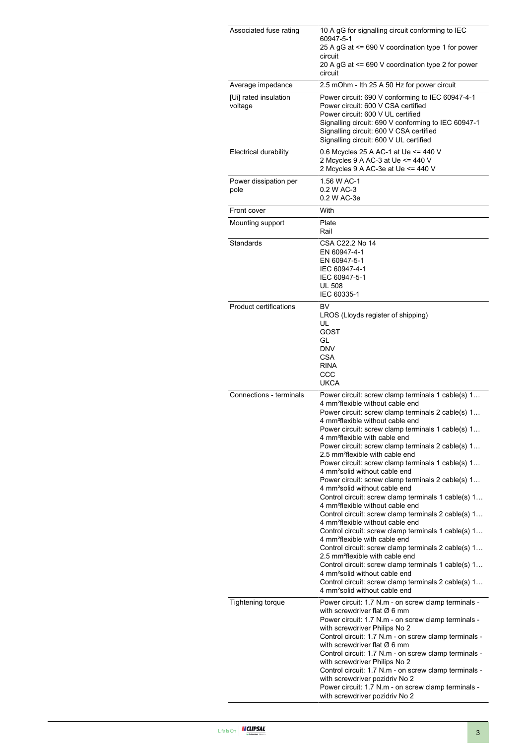| Associated fuse rating           | 10 A gG for signalling circuit conforming to IEC<br>60947-5-1<br>25 A gG at <= 690 V coordination type 1 for power<br>circuit<br>20 A gG at <= 690 V coordination type 2 for power<br>circuit                                                                                                                                                                                                                                                                                                                                                                                                                                                                                                                                                                                                                                                                                                                                                                                                                                                                                                                                                                                                                                                    |  |  |
|----------------------------------|--------------------------------------------------------------------------------------------------------------------------------------------------------------------------------------------------------------------------------------------------------------------------------------------------------------------------------------------------------------------------------------------------------------------------------------------------------------------------------------------------------------------------------------------------------------------------------------------------------------------------------------------------------------------------------------------------------------------------------------------------------------------------------------------------------------------------------------------------------------------------------------------------------------------------------------------------------------------------------------------------------------------------------------------------------------------------------------------------------------------------------------------------------------------------------------------------------------------------------------------------|--|--|
| Average impedance                | 2.5 mOhm - Ith 25 A 50 Hz for power circuit                                                                                                                                                                                                                                                                                                                                                                                                                                                                                                                                                                                                                                                                                                                                                                                                                                                                                                                                                                                                                                                                                                                                                                                                      |  |  |
| [Ui] rated insulation<br>voltage | Power circuit: 690 V conforming to IEC 60947-4-1<br>Power circuit: 600 V CSA certified<br>Power circuit: 600 V UL certified<br>Signalling circuit: 690 V conforming to IEC 60947-1<br>Signalling circuit: 600 V CSA certified<br>Signalling circuit: 600 V UL certified                                                                                                                                                                                                                                                                                                                                                                                                                                                                                                                                                                                                                                                                                                                                                                                                                                                                                                                                                                          |  |  |
| Electrical durability            | 0.6 Mcycles 25 A AC-1 at Ue <= 440 V<br>2 Mcycles 9 A AC-3 at Ue <= 440 V<br>2 Mcycles 9 A AC-3e at Ue <= 440 V                                                                                                                                                                                                                                                                                                                                                                                                                                                                                                                                                                                                                                                                                                                                                                                                                                                                                                                                                                                                                                                                                                                                  |  |  |
| Power dissipation per<br>pole    | 1.56 W AC-1<br>0.2 W AC-3<br>0.2 W AC-3e                                                                                                                                                                                                                                                                                                                                                                                                                                                                                                                                                                                                                                                                                                                                                                                                                                                                                                                                                                                                                                                                                                                                                                                                         |  |  |
| Front cover                      | With                                                                                                                                                                                                                                                                                                                                                                                                                                                                                                                                                                                                                                                                                                                                                                                                                                                                                                                                                                                                                                                                                                                                                                                                                                             |  |  |
| Mounting support                 | Plate<br>Rail                                                                                                                                                                                                                                                                                                                                                                                                                                                                                                                                                                                                                                                                                                                                                                                                                                                                                                                                                                                                                                                                                                                                                                                                                                    |  |  |
| Standards                        | CSA C22.2 No 14<br>EN 60947-4-1<br>EN 60947-5-1<br>IEC 60947-4-1<br>IEC 60947-5-1<br><b>UL 508</b><br>IEC 60335-1                                                                                                                                                                                                                                                                                                                                                                                                                                                                                                                                                                                                                                                                                                                                                                                                                                                                                                                                                                                                                                                                                                                                |  |  |
| Product certifications           | BV<br>LROS (Lloyds register of shipping)<br>UL<br>GOST<br>GL<br><b>DNV</b><br>CSA<br><b>RINA</b><br>CCC<br><b>UKCA</b>                                                                                                                                                                                                                                                                                                                                                                                                                                                                                                                                                                                                                                                                                                                                                                                                                                                                                                                                                                                                                                                                                                                           |  |  |
| Connections - terminals          | Power circuit: screw clamp terminals 1 cable(s) 1<br>4 mm <sup>2</sup> flexible without cable end<br>Power circuit: screw clamp terminals 2 cable(s) 1<br>4 mm <sup>2</sup> flexible without cable end<br>Power circuit: screw clamp terminals 1 cable(s) 1<br>4 mm <sup>2</sup> flexible with cable end<br>Power circuit: screw clamp terminals 2 cable(s) 1<br>2.5 mm <sup>2</sup> flexible with cable end<br>Power circuit: screw clamp terminals 1 cable(s) 1<br>4 mm <sup>2</sup> solid without cable end<br>Power circuit: screw clamp terminals 2 cable(s) 1<br>4 mm <sup>2</sup> solid without cable end<br>Control circuit: screw clamp terminals 1 cable(s) 1<br>4 mm <sup>2</sup> flexible without cable end<br>Control circuit: screw clamp terminals 2 cable(s) 1<br>4 mm <sup>2</sup> flexible without cable end<br>Control circuit: screw clamp terminals 1 cable(s) 1<br>4 mm <sup>2</sup> flexible with cable end<br>Control circuit: screw clamp terminals 2 cable(s) 1<br>2.5 mm <sup>2</sup> flexible with cable end<br>Control circuit: screw clamp terminals 1 cable(s) 1<br>4 mm <sup>2</sup> solid without cable end<br>Control circuit: screw clamp terminals 2 cable(s) 1<br>4 mm <sup>2</sup> solid without cable end |  |  |
| <b>Tightening torque</b>         | Power circuit: 1.7 N.m - on screw clamp terminals -<br>with screwdriver flat $\varnothing$ 6 mm<br>Power circuit: 1.7 N.m - on screw clamp terminals -<br>with screwdriver Philips No 2<br>Control circuit: 1.7 N.m - on screw clamp terminals -<br>with screwdriver flat $\varnothing$ 6 mm<br>Control circuit: 1.7 N.m - on screw clamp terminals -<br>with screwdriver Philips No 2<br>Control circuit: 1.7 N.m - on screw clamp terminals -<br>with screwdriver pozidriv No 2<br>Power circuit: 1.7 N.m - on screw clamp terminals -<br>with screwdriver pozidriv No 2                                                                                                                                                                                                                                                                                                                                                                                                                                                                                                                                                                                                                                                                       |  |  |

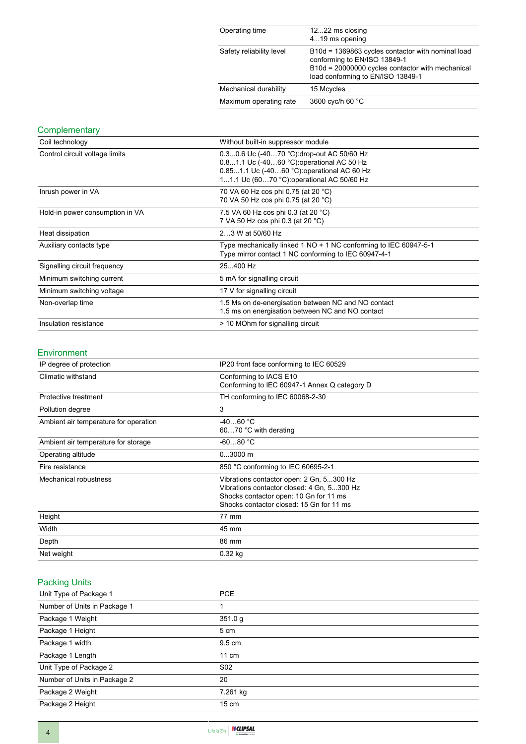| Operating time           | 1222 ms closing<br>419 ms opening                                                                                                                                          |
|--------------------------|----------------------------------------------------------------------------------------------------------------------------------------------------------------------------|
| Safety reliability level | B10d = 1369863 cycles contactor with nominal load<br>conforming to EN/ISO 13849-1<br>B10d = 20000000 cycles contactor with mechanical<br>load conforming to EN/ISO 13849-1 |
| Mechanical durability    | 15 Mcycles                                                                                                                                                                 |
| Maximum operating rate   | 3600 cyc/h 60 °C                                                                                                                                                           |

## **Complementary**

| Coil technology                 | Without built-in suppressor module                                                                                                                                                   |  |  |
|---------------------------------|--------------------------------------------------------------------------------------------------------------------------------------------------------------------------------------|--|--|
| Control circuit voltage limits  | 0.30.6 Uc (-4070 °C): drop-out AC 50/60 Hz<br>0.81.1 Uc (-4060 °C) operational AC 50 Hz<br>0.851.1 Uc (-4060 °C): operational AC 60 Hz<br>11.1 Uc (6070 °C): operational AC 50/60 Hz |  |  |
| Inrush power in VA              | 70 VA 60 Hz cos phi 0.75 (at 20 °C)<br>70 VA 50 Hz cos phi 0.75 (at 20 °C)                                                                                                           |  |  |
| Hold-in power consumption in VA | 7.5 VA 60 Hz cos phi 0.3 (at 20 °C)<br>7 VA 50 Hz cos phi 0.3 (at 20 °C)                                                                                                             |  |  |
| Heat dissipation                | 23 W at 50/60 Hz                                                                                                                                                                     |  |  |
| Auxiliary contacts type         | Type mechanically linked 1 NO + 1 NC conforming to IEC 60947-5-1<br>Type mirror contact 1 NC conforming to IEC 60947-4-1                                                             |  |  |
| Signalling circuit frequency    | 25400 Hz                                                                                                                                                                             |  |  |
| Minimum switching current       | 5 mA for signalling circuit                                                                                                                                                          |  |  |
| Minimum switching voltage       | 17 V for signalling circuit                                                                                                                                                          |  |  |
| Non-overlap time                | 1.5 Ms on de-energisation between NC and NO contact<br>1.5 ms on energisation between NC and NO contact                                                                              |  |  |
| Insulation resistance           | > 10 MOhm for signalling circuit                                                                                                                                                     |  |  |

#### Environment

| IP degree of protection                                                                                                                                                                               | IP20 front face conforming to IEC 60529                                |  |
|-------------------------------------------------------------------------------------------------------------------------------------------------------------------------------------------------------|------------------------------------------------------------------------|--|
| Climatic withstand                                                                                                                                                                                    | Conforming to IACS E10<br>Conforming to IEC 60947-1 Annex Q category D |  |
| Protective treatment                                                                                                                                                                                  | TH conforming to IEC 60068-2-30                                        |  |
| Pollution degree                                                                                                                                                                                      | 3                                                                      |  |
| Ambient air temperature for operation                                                                                                                                                                 | $-4060 °C$<br>6070 °C with derating                                    |  |
| Ambient air temperature for storage                                                                                                                                                                   | $-6080 °C$                                                             |  |
| Operating altitude                                                                                                                                                                                    | $03000$ m                                                              |  |
| Fire resistance                                                                                                                                                                                       | 850 °C conforming to IEC 60695-2-1                                     |  |
| Mechanical robustness<br>Vibrations contactor open: 2 Gn, 5300 Hz<br>Vibrations contactor closed: 4 Gn, 5300 Hz<br>Shocks contactor open: 10 Gn for 11 ms<br>Shocks contactor closed: 15 Gn for 11 ms |                                                                        |  |
| Height                                                                                                                                                                                                | 77 mm                                                                  |  |
| Width                                                                                                                                                                                                 | 45 mm                                                                  |  |
| Depth                                                                                                                                                                                                 | 86 mm                                                                  |  |
| Net weight                                                                                                                                                                                            | $0.32$ kg                                                              |  |

# Packing Units

| Unit Type of Package 1       | <b>PCE</b>       |
|------------------------------|------------------|
| Number of Units in Package 1 |                  |
| Package 1 Weight             | 351.0 g          |
| Package 1 Height             | 5 cm             |
| Package 1 width              | $9.5 \text{ cm}$ |
| Package 1 Length             | $11 \text{ cm}$  |
| Unit Type of Package 2       | S <sub>02</sub>  |
| Number of Units in Package 2 | 20               |
| Package 2 Weight             | 7.261 kg         |
| Package 2 Height             | $15 \text{ cm}$  |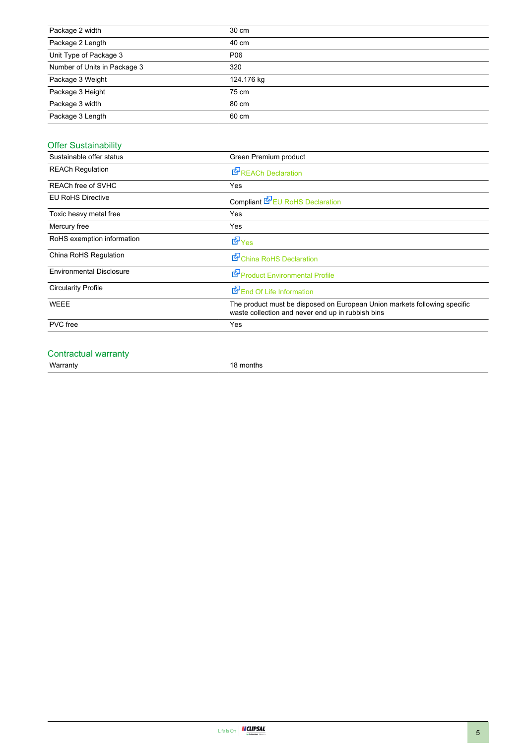| Package 2 width              | 30 cm      |
|------------------------------|------------|
| Package 2 Length             | 40 cm      |
| Unit Type of Package 3       | P06        |
| Number of Units in Package 3 | 320        |
| Package 3 Weight             | 124.176 kg |
| Package 3 Height             | 75 cm      |
| Package 3 width              | 80 cm      |
| Package 3 Length             | 60 cm      |

# Offer Sustainability

| Sustainable offer status        | Green Premium product                                                                                                          |  |  |
|---------------------------------|--------------------------------------------------------------------------------------------------------------------------------|--|--|
| <b>REACh Regulation</b>         | <b>REACh Declaration</b>                                                                                                       |  |  |
| REACh free of SVHC              | Yes                                                                                                                            |  |  |
| <b>EU RoHS Directive</b>        | Compliant EPEU RoHS Declaration                                                                                                |  |  |
| Toxic heavy metal free          | Yes                                                                                                                            |  |  |
| Mercury free                    | Yes                                                                                                                            |  |  |
| RoHS exemption information      | $E_{\text{Yes}}$                                                                                                               |  |  |
| China RoHS Regulation           | China RoHS Declaration                                                                                                         |  |  |
| <b>Environmental Disclosure</b> | Product Environmental Profile                                                                                                  |  |  |
| <b>Circularity Profile</b>      | End Of Life Information                                                                                                        |  |  |
| <b>WEEE</b>                     | The product must be disposed on European Union markets following specific<br>waste collection and never end up in rubbish bins |  |  |
| <b>PVC</b> free                 | Yes                                                                                                                            |  |  |
|                                 |                                                                                                                                |  |  |

#### Contractual warranty

Warranty 18 months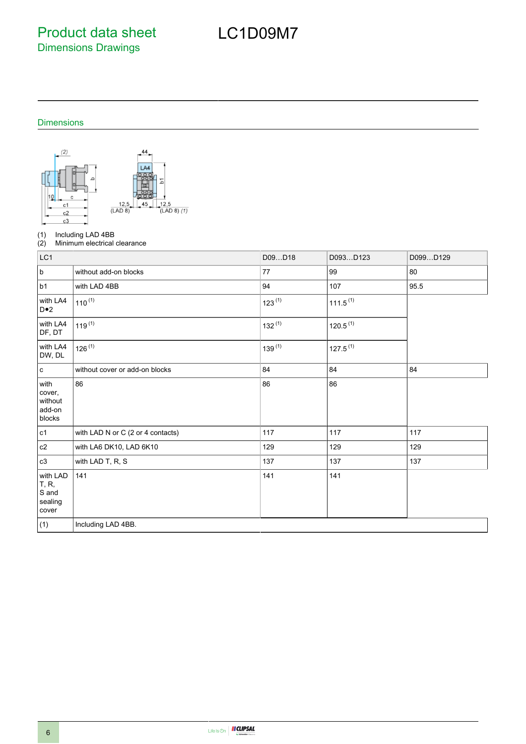Product data sheet Dimensions Drawings

# LC1D09M7

## Dimensions



(1) Including LAD 4BB<br>(2) Minimum electrical

Minimum electrical clearance

| LC1                                                    |                                   | D09D18      | D093D123             | D099D129 |
|--------------------------------------------------------|-----------------------------------|-------------|----------------------|----------|
| $\sf b$                                                | without add-on blocks             | 77          | 99                   | 80       |
| b1                                                     | with LAD 4BB                      | 94          | 107                  | 95.5     |
| with LA4<br>D•2                                        | $110^{(1)}$                       | $123^{(1)}$ | $111.5^{(1)}$        |          |
| with LA4<br>DF, DT                                     | $119^{(1)}$                       | $132^{(1)}$ | 120.5 <sup>(1)</sup> |          |
| with LA4<br>DW, DL                                     | $126^{(1)}$                       | $139^{(1)}$ | $127.5^{(1)}$        |          |
| $\mathbf c$                                            | without cover or add-on blocks    | 84          | 84                   | 84       |
| with<br>cover,<br>without<br>add-on<br>blocks          | 86                                | 86          | 86                   |          |
| c1                                                     | with LAD N or C (2 or 4 contacts) | 117         | 117                  | 117      |
| $\mathtt{c2}$                                          | with LA6 DK10, LAD 6K10           | 129         | 129                  | 129      |
| c3                                                     | with LAD T, R, S                  | 137         | 137                  | 137      |
| with LAD<br><b>T</b> , R,<br>S and<br>sealing<br>cover | 141                               | 141         | 141                  |          |
| (1)                                                    | Including LAD 4BB.                |             |                      |          |